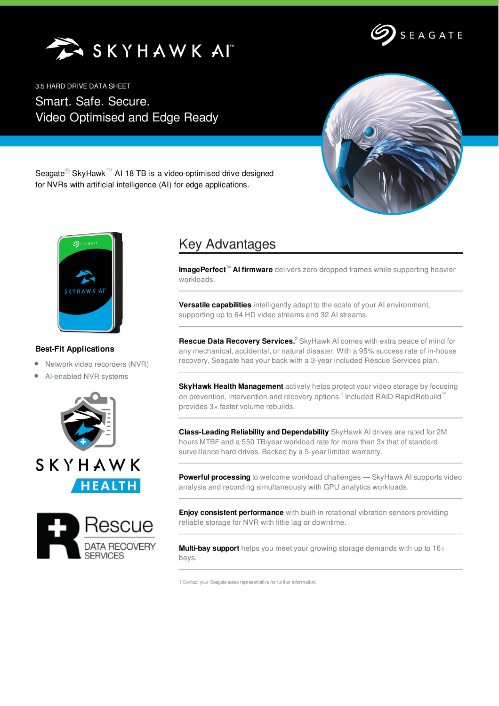SKYHAWKAI



3.5 HARD DRIVE DATA SHEET

Smart. Safe. Secure. Video Optimised and Edge Ready



Seagate<sup>®</sup> SkyHawk<sup>™</sup> AI 18 TB is a video-optimised drive designed for NVRs with artificial intelligence (AI) for edge applications.



## **Best-Fit Applications**

- Network video recorders (NVR)
- AI-enabled NVR systems





## Key Advantages

**ImagePerfect™ AI firmware** delivers zero dropped frames while supporting heavier workloads.

**Versatile capabilities** intelligently adapt to the scale of your AI environment, supporting up to 64 HD video streams and 32 AI streams.

**Rescue Data Recovery Services. <sup>2</sup>** SkyHawk AI comes with extra peace of mind for any mechanical, accidental, or natural disaster. With a 95% success rate of in-house recovery, Seagate has your back with a 3-year included Rescue Services plan.

**SkyHawk Health Management** actively helps protect your video storage by focusing on prevention, intervention and recovery options.<sup>1</sup> Included RAID RapidRebuild™ provides 3× faster volume rebuilds.

**Class-Leading Reliability and Dependability** SkyHawk AI drives are rated for 2M hours MTBF and a 550 TB/year workload rate for more than 3x that of standard surveillance hard drives. Backed by a 5-year limited warranty.

**Powerful processing** to welcome workload challenges — SkyHawk AI supports video analysis and recording simultaneously with GPU analytics workloads.

**Enjoy consistent performance** with built-in rotational vibration sensors providing reliable storage for NVR with little lag or downtime.

**Multi-bay support** helps you meet your growing storage demands with up to 16+ bays.

1 Contact your Seagate sales representative for further information.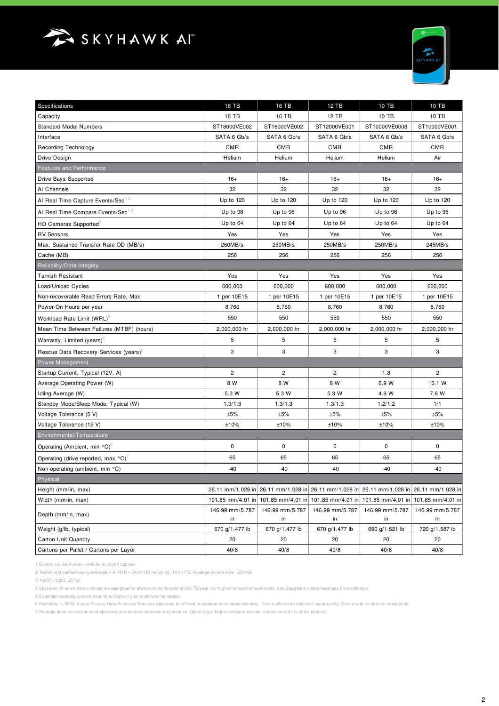



| Specifications                                     | <b>18 TB</b>          | 16 TB                   | 12 TB                 | 10 TB                                                                                     | 10 TB                               |
|----------------------------------------------------|-----------------------|-------------------------|-----------------------|-------------------------------------------------------------------------------------------|-------------------------------------|
| Capacity                                           | 18 TB                 | 16 TB                   | 12 TB                 | 10 TB                                                                                     | 10 TB                               |
| <b>Standard Model Numbers</b>                      | ST18000VE002          | ST16000VE002            | ST12000VE001          | ST10000VE0008                                                                             | ST10000VE001                        |
| Interface                                          | SATA 6 Gb/s           | SATA 6 Gb/s             | SATA 6 Gb/s           | SATA 6 Gb/s                                                                               | SATA 6 Gb/s                         |
| <b>Recording Technology</b>                        | <b>CMR</b>            | <b>CMR</b>              | <b>CMR</b>            | <b>CMR</b>                                                                                | <b>CMR</b>                          |
| Drive Design                                       | Helium                | Helium                  | Helium                | Helium                                                                                    | Air                                 |
| Features and Performance                           |                       |                         |                       |                                                                                           |                                     |
| Drive Bays Supported                               | $16+$                 | $16+$                   | $16+$                 | $16+$                                                                                     | $16+$                               |
| Al Channels                                        | 32                    | 32                      | 32                    | 32                                                                                        | 32                                  |
| Al Real Time Capture Events/Sec <sup>1,2</sup>     | Up to 120             | Up to 120               | Up to 120             | Up to 120                                                                                 | Up to 120                           |
| Al Real Time Compare Events/Sec <sup>1,2</sup>     | Up to 96              | Up to 96                | Up to 96              | Up to 96                                                                                  | Up to 96                            |
| HD Cameras Supported <sup>3</sup>                  | Up to 64              | Up to 64                | Up to 64              | Up to 64                                                                                  | Up to 64                            |
| <b>RV Sensors</b>                                  | Yes                   | Yes                     | Yes                   | Yes                                                                                       | Yes                                 |
| Max. Sustained Transfer Rate OD (MB/s)             | 260MB/s               | 250MB/s                 | 250MB/s               | 250MB/s                                                                                   | 245MB/s                             |
| Cache (MB)                                         | 256                   | 256                     | 256                   | 256                                                                                       | 256                                 |
| Reliability/Data Integrity                         |                       |                         |                       |                                                                                           |                                     |
| Tarnish Resistant                                  | Yes                   | Yes                     | Yes                   | Yes                                                                                       | Yes                                 |
| Load/Unload Cycles                                 | 600,000               | 600,000                 | 600,000               | 600,000                                                                                   | 600,000                             |
| Non-recoverable Read Errors Rate, Max              | 1 per 10E15           | 1 per 10E15             | 1 per 10E15           | 1 per 10E15                                                                               | 1 per 10E15                         |
| Power-On Hours per year                            | 8,760                 | 8,760                   | 8,760                 | 8,760                                                                                     | 8,760                               |
| Workload Rate Limit (WRL) <sup>4</sup>             | 550                   | 550                     | 550                   | 550                                                                                       | 550                                 |
| Mean Time Between Failures (MTBF) (hours)          | 2,000,000 hr          | 2,000,000 hr            | 2,000,000 hr          | 2,000,000 hr                                                                              | 2,000,000 hr                        |
| Warranty, Limited (years) <sup>5</sup>             | 5                     | 5                       | 5                     | 5                                                                                         | 5                                   |
| Rescue Data Recovery Services (years) <sup>b</sup> | 3                     | 3                       | 3                     | 3                                                                                         | 3                                   |
| <b>Power Management</b>                            |                       |                         |                       |                                                                                           |                                     |
| Startup Current, Typical (12V, A)                  | 2                     | $\overline{\mathbf{c}}$ | 2                     | 1.8                                                                                       | $\overline{\mathbf{c}}$             |
| Average Operating Power (W)                        | 8 W                   | 8 W                     | 8 W                   | 6.9 W                                                                                     | 10.1 W                              |
| Idling Average (W)                                 | 5.3 W                 | 5.3 W                   | 5.3 W                 | 4.9 W                                                                                     | 7.8 W                               |
| Standby Mode/Sleep Mode, Typical (W)               | 1.3/1.3               | 1.3/1.3                 | 1.3/1.3               | 1.2/1.2                                                                                   | 1/1                                 |
| Voltage Tolerance (5 V)                            | ±5%                   | ±5%                     | ±5%                   | ±5%                                                                                       | ±5%                                 |
| Voltage Tolerance (12 V)                           | ±10%                  | ±10%                    | ±10%                  | ±10%                                                                                      | ±10%                                |
| Environmental/Temperature                          |                       |                         |                       |                                                                                           |                                     |
| Operating (Ambient, min °C) <sup>/</sup>           | 0                     | 0                       | 0                     | $\mathsf 0$                                                                               | 0                                   |
| Operating (drive reported, max °C)                 | 65                    | 65                      | 65                    | 65                                                                                        | 65                                  |
| Non-operating (ambient, min °C)                    | $-40$                 | $-40$                   | $-40$                 | $-40$                                                                                     | $-40$                               |
| Physical                                           |                       |                         |                       |                                                                                           |                                     |
| Height (mm/in, max)                                |                       |                         |                       | 26.11 mm/1.028 in 26.11 mm/1.028 in 26.11 mm/1.028 in 26.11 mm/1.028 in 26.11 mm/1.028 in |                                     |
| Width (mm/in, max)                                 | 101.85 mm/4.01 in     | 101.85 mm/4.01 in       | 101.85 mm/4.01 in     |                                                                                           | 101.85 mm/4.01 in 101.85 mm/4.01 in |
| Depth (mm/in, max)                                 | 146.99 mm/5.787<br>in | 146.99 mm/5.787<br>in   | 146.99 mm/5.787<br>in | 146.99 mm/5.787<br>in                                                                     | 146.99 mm/5.787<br>in               |
| Weight (g/lb, typical)                             | 670 g/1.477 lb        | 670 g/1.477 lb          | 670 g/1.477 lb        | 690 g/1.521 lb                                                                            | 720 g/1.587 lb                      |
| Carton Unit Quantity                               | 20                    | 20                      | 20                    | 20                                                                                        | 20                                  |
| Cartons per Pallet / Cartons per Layer             | 40/8                  | 40/8                    | 40/8                  | 40/8                                                                                      | 40/8                                |

1 Events can be human, vehicle, or object capture.

2 Tested and verified using embedded AI NVR – 64-ch HD recording, 16-ch PB. Average picture size ~250 KB

3 1080P, H.265, 25 fps

4 SkyHawk AI surveillance drives are designed for always-on workloads of 550 TB/year. For higher transaction workloads, see Seagate's enterprise-class drive offerings.

5 Extended warranty options available. Consult your distributor for details.

6 From May 1, 2020, 3-year Rescue Data Recovery Services plan may be offered in addition to standard warranty. This is offered for selected regions only. Check with reseller on availability.

7 Seagate does not recommend operating at sustained extreme temperatures. Operating at higher temperatures will reduce useful life of the product.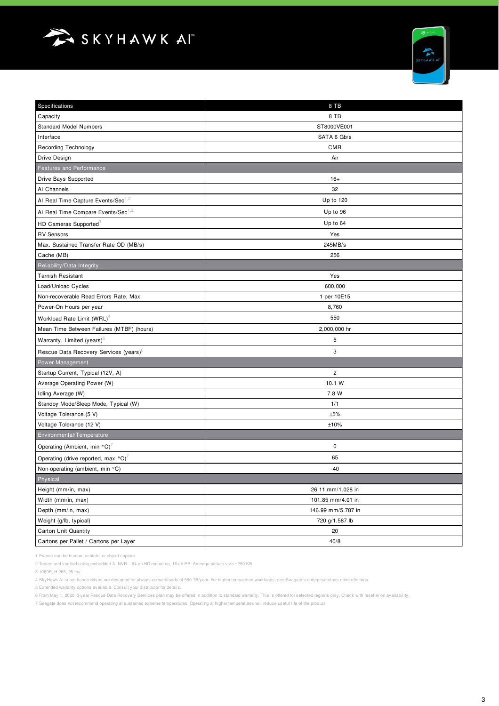



| Specifications                                     | 8 TB               |  |  |  |
|----------------------------------------------------|--------------------|--|--|--|
| Capacity                                           | 8 TB               |  |  |  |
| <b>Standard Model Numbers</b>                      | ST8000VE001        |  |  |  |
| Interface                                          | SATA 6 Gb/s        |  |  |  |
| <b>Recording Technology</b>                        | <b>CMR</b>         |  |  |  |
| Drive Design                                       | Air                |  |  |  |
| Features and Performance                           |                    |  |  |  |
| Drive Bays Supported                               | $16+$              |  |  |  |
| Al Channels                                        | 32                 |  |  |  |
| Al Real Time Capture Events/Sec <sup>1,2</sup>     | Up to 120          |  |  |  |
| Al Real Time Compare Events/Sec <sup>1,2</sup>     | Up to 96           |  |  |  |
| HD Cameras Supported <sup>3</sup>                  | Up to 64           |  |  |  |
| <b>RV Sensors</b>                                  | Yes                |  |  |  |
| Max. Sustained Transfer Rate OD (MB/s)             | 245MB/s            |  |  |  |
| Cache (MB)                                         | 256                |  |  |  |
| Reliability/Data Integrity                         |                    |  |  |  |
| <b>Tarnish Resistant</b>                           | Yes                |  |  |  |
| Load/Unload Cycles                                 | 600,000            |  |  |  |
| Non-recoverable Read Errors Rate, Max              | 1 per 10E15        |  |  |  |
| Power-On Hours per year                            | 8,760              |  |  |  |
| Workload Rate Limit (WRL) <sup>4</sup>             | 550                |  |  |  |
| Mean Time Between Failures (MTBF) (hours)          | 2,000,000 hr       |  |  |  |
| Warranty, Limited (years) <sup>5</sup>             | 5                  |  |  |  |
| Rescue Data Recovery Services (years) <sup>6</sup> | 3                  |  |  |  |
| Power Management                                   |                    |  |  |  |
| Startup Current, Typical (12V, A)                  | 2                  |  |  |  |
| Average Operating Power (W)                        | 10.1 W             |  |  |  |
| Idling Average (W)                                 | 7.8 W              |  |  |  |
| Standby Mode/Sleep Mode, Typical (W)               | 1/1                |  |  |  |
| Voltage Tolerance (5 V)                            | ±5%                |  |  |  |
| Voltage Tolerance (12 V)                           | ±10%               |  |  |  |
| Environmental/Temperature                          |                    |  |  |  |
| Operating (Ambient, min °C) <sup>7</sup>           | 0                  |  |  |  |
| Operating (drive reported, max °C)                 | 65                 |  |  |  |
| Non-operating (ambient, min °C)                    | $-40$              |  |  |  |
| Physical                                           |                    |  |  |  |
| Height (mm/in, max)                                | 26.11 mm/1.028 in  |  |  |  |
| Width (mm/in, max)                                 | 101.85 mm/4.01 in  |  |  |  |
| Depth (mm/in, max)                                 | 146.99 mm/5.787 in |  |  |  |
| Weight (g/lb, typical)                             | 720 g/1.587 lb     |  |  |  |
| Carton Unit Quantity                               | 20                 |  |  |  |
| Cartons per Pallet / Cartons per Layer             | 40/8               |  |  |  |

1 Events can be human, vehicle, or object capture.

2 Tested and verified using embedded AI NVR – 64-ch HD recording, 16-ch PB. Average picture size ~250 KB

3 1080P, H.265, 25 fps

4 SkyHawk AI surveillance drives are designed for always-on workloads of 550 TB/year. For higher transaction workloads, see Seagate's enterprise-class drive offerings.

5 Extended warranty options available. Consult your distributor for details.

6 From May 1, 2020, 3-year Rescue Data Recovery Services plan may be offered in addition to standard warranty. This is offered for selected regions only. Check with reseller on availability.

7 Seagate does not recommend operating at sustained extreme temperatures. Operating at higher temperatures will reduce useful life of the product.